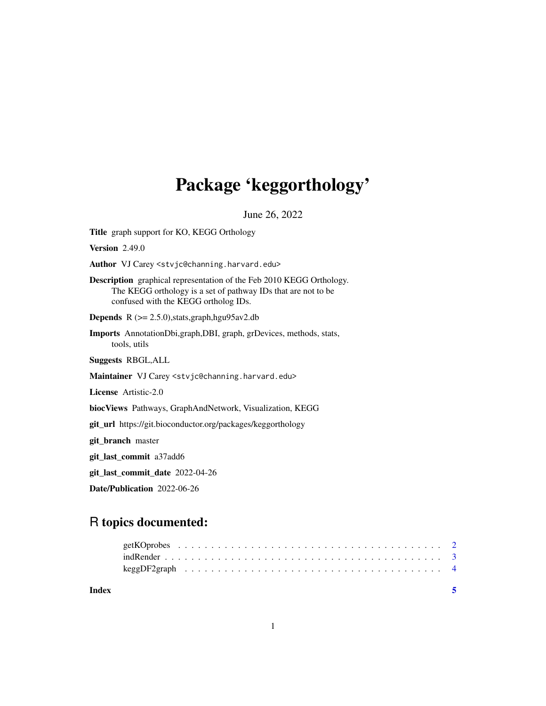## Package 'keggorthology'

June 26, 2022

<span id="page-0-0"></span>Title graph support for KO, KEGG Orthology Version 2.49.0 Author VJ Carey <stvjc@channing.harvard.edu> Description graphical representation of the Feb 2010 KEGG Orthology. The KEGG orthology is a set of pathway IDs that are not to be confused with the KEGG ortholog IDs. **Depends** R  $(>= 2.5.0)$ , stats, graph, hgu $95av2$ .db Imports AnnotationDbi,graph,DBI, graph, grDevices, methods, stats, tools, utils Suggests RBGL,ALL Maintainer VJ Carey <stvjc@channing.harvard.edu> License Artistic-2.0 biocViews Pathways, GraphAndNetwork, Visualization, KEGG git\_url https://git.bioconductor.org/packages/keggorthology git\_branch master git\_last\_commit a37add6 git\_last\_commit\_date 2022-04-26

Date/Publication 2022-06-26

### R topics documented:

| Index |  |  |  |  |  |  |  |  |  |  |  |  |  |  |  |  |  |  |  |
|-------|--|--|--|--|--|--|--|--|--|--|--|--|--|--|--|--|--|--|--|
|       |  |  |  |  |  |  |  |  |  |  |  |  |  |  |  |  |  |  |  |
|       |  |  |  |  |  |  |  |  |  |  |  |  |  |  |  |  |  |  |  |
|       |  |  |  |  |  |  |  |  |  |  |  |  |  |  |  |  |  |  |  |

1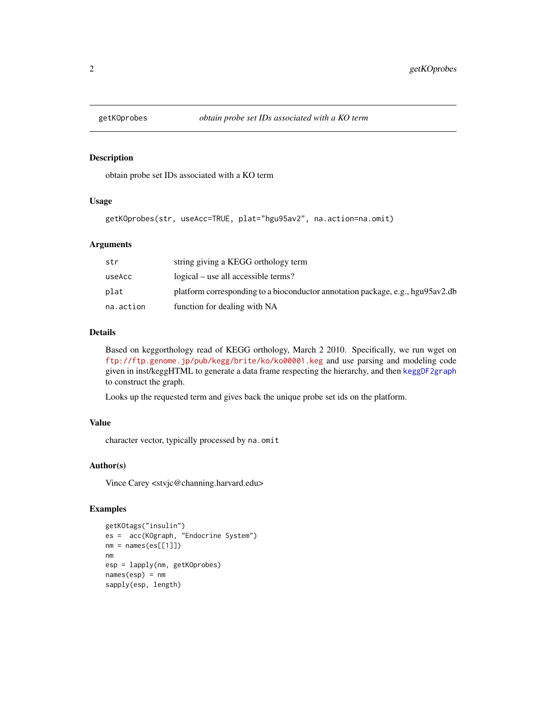<span id="page-1-0"></span>

#### Description

obtain probe set IDs associated with a KO term

#### Usage

```
getKOprobes(str, useAcc=TRUE, plat="hgu95av2", na.action=na.omit)
```
#### Arguments

| str       | string giving a KEGG orthology term                                            |
|-----------|--------------------------------------------------------------------------------|
| useAcc    | logical – use all accessible terms?                                            |
| plat      | platform corresponding to a bioconductor annotation package, e.g., hgu95av2.db |
| na.action | function for dealing with NA                                                   |

#### Details

Based on keggorthology read of KEGG orthology, March 2 2010. Specifically, we run wget on <ftp://ftp.genome.jp/pub/kegg/brite/ko/ko00001.keg> and use parsing and modeling code given in inst/keggHTML to generate a data frame respecting the hierarchy, and then [keggDF2graph](#page-3-1) to construct the graph.

Looks up the requested term and gives back the unique probe set ids on the platform.

#### Value

character vector, typically processed by na.omit

#### Author(s)

Vince Carey <stvjc@channing.harvard.edu>

#### Examples

```
getKOtags("insulin")
es = acc(KOgraph, "Endocrine System")
nm = names(es[1]])nm
esp = lapply(nm, getKOprobes)
names(esp) = nmsapply(esp, length)
```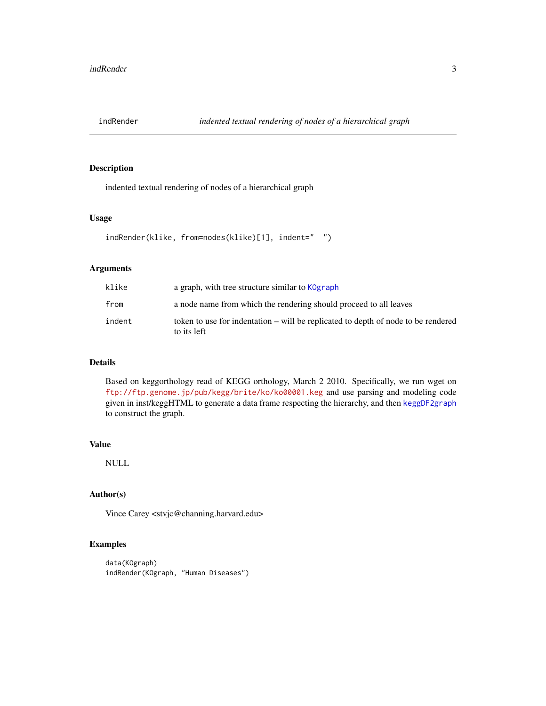<span id="page-2-0"></span>

#### Description

indented textual rendering of nodes of a hierarchical graph

#### Usage

```
indRender(klike, from=nodes(klike)[1], indent=" ")
```
#### Arguments

| klike  | a graph, with tree structure similar to KOgraph                                                  |
|--------|--------------------------------------------------------------------------------------------------|
| from   | a node name from which the rendering should proceed to all leaves                                |
| indent | token to use for indentation – will be replicated to depth of node to be rendered<br>to its left |

#### Details

Based on keggorthology read of KEGG orthology, March 2 2010. Specifically, we run wget on <ftp://ftp.genome.jp/pub/kegg/brite/ko/ko00001.keg> and use parsing and modeling code given in inst/keggHTML to generate a data frame respecting the hierarchy, and then [keggDF2graph](#page-3-1) to construct the graph.

#### Value

NULL

#### Author(s)

Vince Carey <stvjc@channing.harvard.edu>

#### Examples

```
data(KOgraph)
indRender(KOgraph, "Human Diseases")
```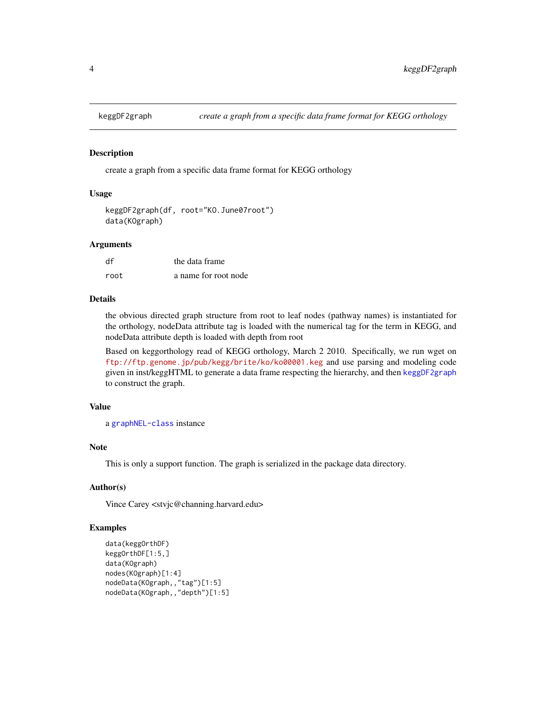<span id="page-3-1"></span><span id="page-3-0"></span>

#### <span id="page-3-2"></span>Description

create a graph from a specific data frame format for KEGG orthology

#### Usage

```
keggDF2graph(df, root="KO.June07root")
data(KOgraph)
```
#### Arguments

| df   | the data frame       |
|------|----------------------|
| root | a name for root node |

#### Details

the obvious directed graph structure from root to leaf nodes (pathway names) is instantiated for the orthology, nodeData attribute tag is loaded with the numerical tag for the term in KEGG, and nodeData attribute depth is loaded with depth from root

Based on keggorthology read of KEGG orthology, March 2 2010. Specifically, we run wget on <ftp://ftp.genome.jp/pub/kegg/brite/ko/ko00001.keg> and use parsing and modeling code given in inst/keggHTML to generate a data frame respecting the hierarchy, and then [keggDF2graph](#page-3-1) to construct the graph.

#### Value

```
a graphNEL-class instance
```
#### Note

This is only a support function. The graph is serialized in the package data directory.

#### Author(s)

Vince Carey <stvjc@channing.harvard.edu>

#### Examples

```
data(keggOrthDF)
keggOrthDF[1:5,]
data(KOgraph)
nodes(KOgraph)[1:4]
nodeData(KOgraph,,"tag")[1:5]
nodeData(KOgraph,,"depth")[1:5]
```